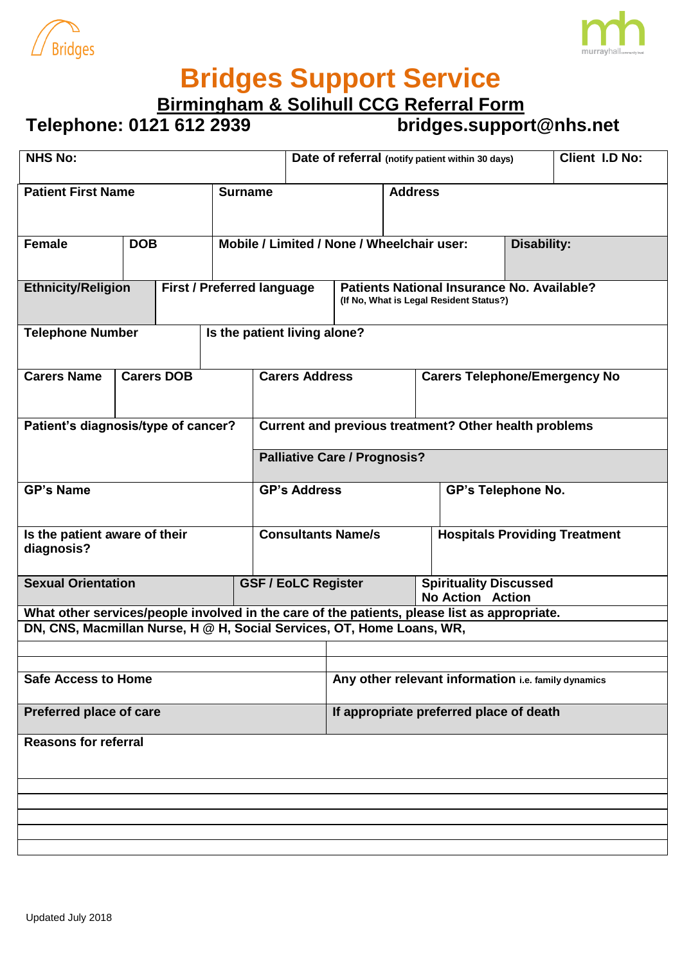



## **Bridges Support Service**

**Birmingham & Solihull CCG Referral Form**

## **Telephone: 0121 612 2939 bridges.support@nhs.net**

| <b>NHS No:</b>                                                                               |            |                              |                                   |                                                       | Date of referral (notify patient within 30 days) |                                                                                       |  |                                                          |                                      |                                      | <b>Client I.D No:</b> |
|----------------------------------------------------------------------------------------------|------------|------------------------------|-----------------------------------|-------------------------------------------------------|--------------------------------------------------|---------------------------------------------------------------------------------------|--|----------------------------------------------------------|--------------------------------------|--------------------------------------|-----------------------|
| <b>Patient First Name</b>                                                                    |            |                              | <b>Surname</b>                    |                                                       |                                                  | <b>Address</b>                                                                        |  |                                                          |                                      |                                      |                       |
| <b>Female</b>                                                                                | <b>DOB</b> |                              |                                   | Mobile / Limited / None / Wheelchair user:            |                                                  |                                                                                       |  |                                                          |                                      |                                      | <b>Disability:</b>    |
| <b>Ethnicity/Religion</b>                                                                    |            |                              | <b>First / Preferred language</b> |                                                       |                                                  | Patients National Insurance No. Available?<br>(If No, What is Legal Resident Status?) |  |                                                          |                                      |                                      |                       |
| <b>Telephone Number</b>                                                                      |            | Is the patient living alone? |                                   |                                                       |                                                  |                                                                                       |  |                                                          |                                      |                                      |                       |
| <b>Carers Name</b><br><b>Carers DOB</b>                                                      |            |                              |                                   |                                                       | <b>Carers Address</b>                            |                                                                                       |  |                                                          |                                      | <b>Carers Telephone/Emergency No</b> |                       |
| Patient's diagnosis/type of cancer?                                                          |            |                              |                                   | Current and previous treatment? Other health problems |                                                  |                                                                                       |  |                                                          |                                      |                                      |                       |
|                                                                                              |            |                              |                                   | <b>Palliative Care / Prognosis?</b>                   |                                                  |                                                                                       |  |                                                          |                                      |                                      |                       |
| <b>GP's Name</b>                                                                             |            |                              |                                   | <b>GP's Address</b>                                   |                                                  |                                                                                       |  | <b>GP's Telephone No.</b>                                |                                      |                                      |                       |
| Is the patient aware of their<br>diagnosis?                                                  |            |                              |                                   | <b>Consultants Name/s</b>                             |                                                  |                                                                                       |  |                                                          | <b>Hospitals Providing Treatment</b> |                                      |                       |
| <b>Sexual Orientation</b>                                                                    |            |                              |                                   | <b>GSF / EoLC Register</b>                            |                                                  |                                                                                       |  | <b>Spirituality Discussed</b><br><b>No Action Action</b> |                                      |                                      |                       |
| What other services/people involved in the care of the patients, please list as appropriate. |            |                              |                                   |                                                       |                                                  |                                                                                       |  |                                                          |                                      |                                      |                       |
| DN, CNS, Macmillan Nurse, H @ H, Social Services, OT, Home Loans, WR,                        |            |                              |                                   |                                                       |                                                  |                                                                                       |  |                                                          |                                      |                                      |                       |
|                                                                                              |            |                              |                                   |                                                       |                                                  |                                                                                       |  |                                                          |                                      |                                      |                       |
| <b>Safe Access to Home</b>                                                                   |            |                              |                                   |                                                       |                                                  | Any other relevant information i.e. family dynamics                                   |  |                                                          |                                      |                                      |                       |
| Preferred place of care                                                                      |            |                              |                                   |                                                       |                                                  | If appropriate preferred place of death                                               |  |                                                          |                                      |                                      |                       |
| <b>Reasons for referral</b>                                                                  |            |                              |                                   |                                                       |                                                  |                                                                                       |  |                                                          |                                      |                                      |                       |
|                                                                                              |            |                              |                                   |                                                       |                                                  |                                                                                       |  |                                                          |                                      |                                      |                       |
|                                                                                              |            |                              |                                   |                                                       |                                                  |                                                                                       |  |                                                          |                                      |                                      |                       |
|                                                                                              |            |                              |                                   |                                                       |                                                  |                                                                                       |  |                                                          |                                      |                                      |                       |
|                                                                                              |            |                              |                                   |                                                       |                                                  |                                                                                       |  |                                                          |                                      |                                      |                       |